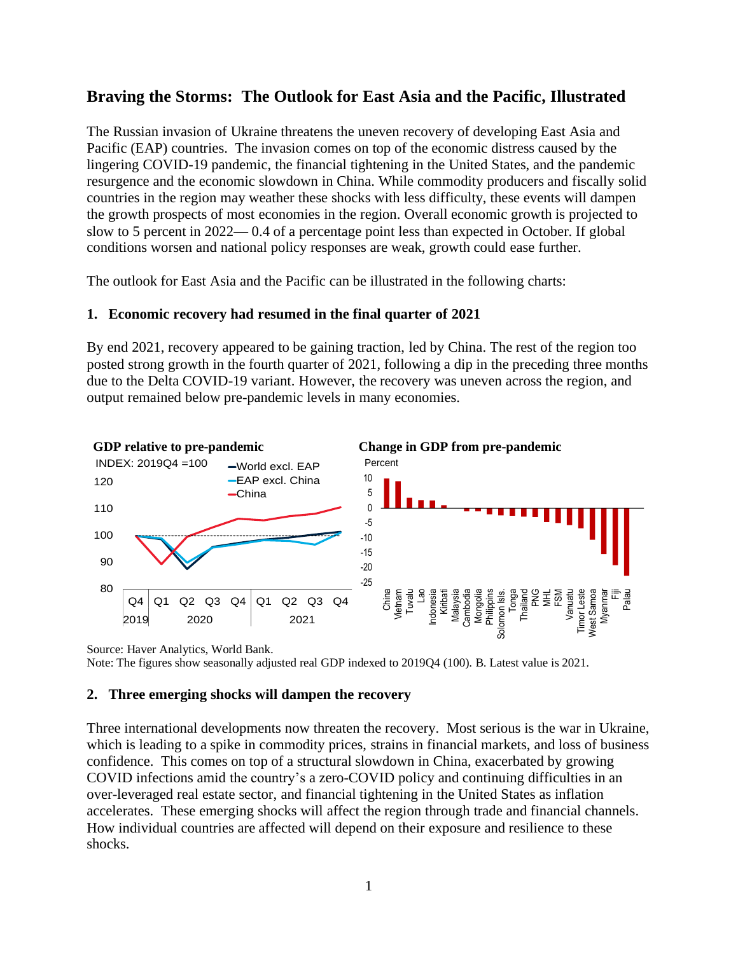# **Braving the Storms: The Outlook for East Asia and the Pacific, Illustrated**

The Russian invasion of Ukraine threatens the uneven recovery of developing East Asia and Pacific (EAP) countries. The invasion comes on top of the economic distress caused by the lingering COVID-19 pandemic, the financial tightening in the United States, and the pandemic resurgence and the economic slowdown in China. While commodity producers and fiscally solid countries in the region may weather these shocks with less difficulty, these events will dampen the growth prospects of most economies in the region. Overall economic growth is projected to slow to 5 percent in 2022— 0.4 of a percentage point less than expected in October. If global conditions worsen and national policy responses are weak, growth could ease further.

The outlook for East Asia and the Pacific can be illustrated in the following charts:

# **1. Economic recovery had resumed in the final quarter of 2021**

By end 2021, recovery appeared to be gaining traction, led by China. The rest of the region too posted strong growth in the fourth quarter of 2021, following a dip in the preceding three months due to the Delta COVID-19 variant. However, the recovery was uneven across the region, and output remained below pre-pandemic levels in many economies.



Source: Haver Analytics, World Bank. Note: The figures show seasonally adjusted real GDP indexed to 2019Q4 (100). B. Latest value is 2021.

# **2. Three emerging shocks will dampen the recovery**

Three international developments now threaten the recovery. Most serious is the war in Ukraine, which is leading to a spike in commodity prices, strains in financial markets, and loss of business confidence. This comes on top of a structural slowdown in China, exacerbated by growing COVID infections amid the country's a zero-COVID policy and continuing difficulties in an over-leveraged real estate sector, and financial tightening in the United States as inflation accelerates. These emerging shocks will affect the region through trade and financial channels. How individual countries are affected will depend on their exposure and resilience to these shocks.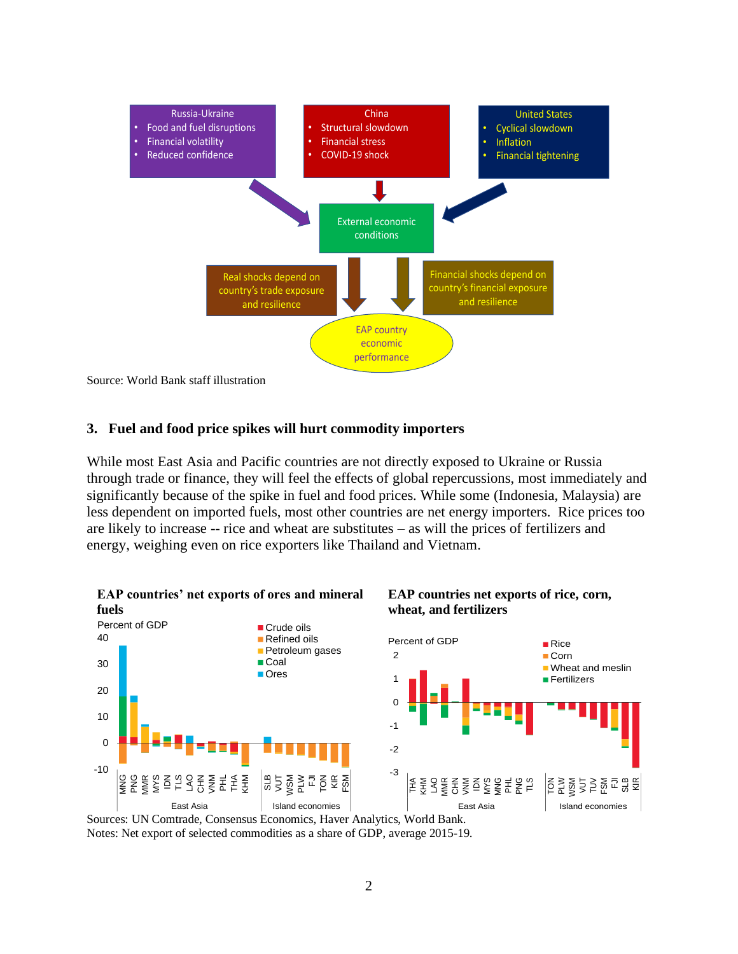

### **3. Fuel and food price spikes will hurt commodity importers**

While most East Asia and Pacific countries are not directly exposed to Ukraine or Russia through trade or finance, they will feel the effects of global repercussions, most immediately and significantly because of the spike in fuel and food prices. While some (Indonesia, Malaysia) are less dependent on imported fuels, most other countries are net energy importers. Rice prices too are likely to increase -- rice and wheat are substitutes – as will the prices of fertilizers and energy, weighing even on rice exporters like Thailand and Vietnam.



Sources: UN Comtrade, Consensus Economics, Haver Analytics, World Bank. Notes: Net export of selected commodities as a share of GDP, average 2015-19.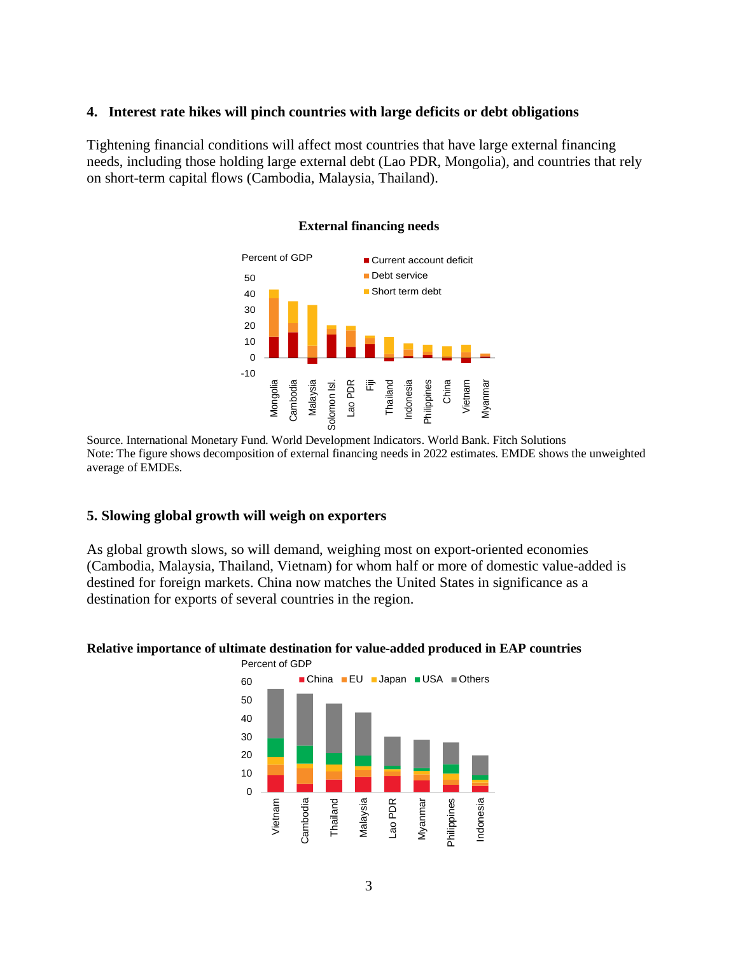### **4. Interest rate hikes will pinch countries with large deficits or debt obligations**

Tightening financial conditions will affect most countries that have large external financing needs, including those holding large external debt (Lao PDR, Mongolia), and countries that rely on short-term capital flows (Cambodia, Malaysia, Thailand).



#### **External financing needs**

Source. International Monetary Fund. World Development Indicators. World Bank. Fitch Solutions Note: The figure shows decomposition of external financing needs in 2022 estimates. EMDE shows the unweighted average of EMDEs.

### **5. Slowing global growth will weigh on exporters**

As global growth slows, so will demand, weighing most on export-oriented economies (Cambodia, Malaysia, Thailand, Vietnam) for whom half or more of domestic value-added is destined for foreign markets. China now matches the United States in significance as a destination for exports of several countries in the region.



### **Relative importance of ultimate destination for value-added produced in EAP countries**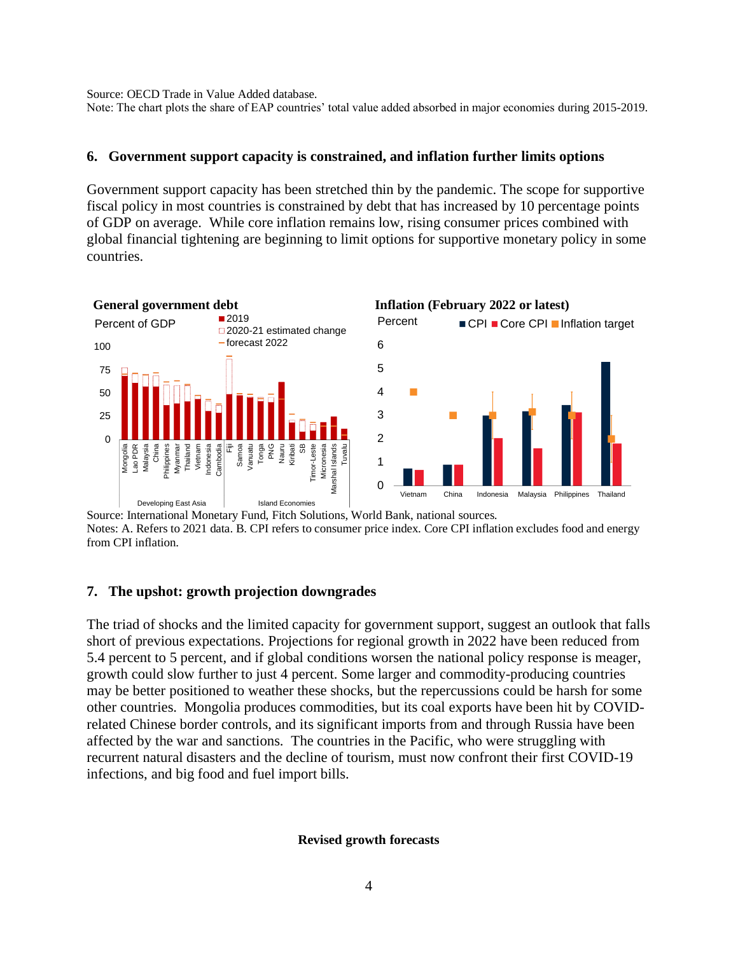Source: OECD Trade in Value Added database.

Note: The chart plots the share of EAP countries' total value added absorbed in major economies during 2015-2019.

### **6. Government support capacity is constrained, and inflation further limits options**

Government support capacity has been stretched thin by the pandemic. The scope for supportive fiscal policy in most countries is constrained by debt that has increased by 10 percentage points of GDP on average. While core inflation remains low, rising consumer prices combined with global financial tightening are beginning to limit options for supportive monetary policy in some countries.



Source: International Monetary Fund, Fitch Solutions, World Bank, national sources. Notes: A. Refers to 2021 data. B. CPI refers to consumer price index. Core CPI inflation excludes food and energy from CPI inflation.

### **7. The upshot: growth projection downgrades**

The triad of shocks and the limited capacity for government support, suggest an outlook that falls short of previous expectations. Projections for regional growth in 2022 have been reduced from 5.4 percent to 5 percent, and if global conditions worsen the national policy response is meager, growth could slow further to just 4 percent. Some larger and commodity-producing countries may be better positioned to weather these shocks, but the repercussions could be harsh for some other countries. Mongolia produces commodities, but its coal exports have been hit by COVIDrelated Chinese border controls, and its significant imports from and through Russia have been affected by the war and sanctions. The countries in the Pacific, who were struggling with recurrent natural disasters and the decline of tourism, must now confront their first COVID-19 infections, and big food and fuel import bills.

#### **Revised growth forecasts**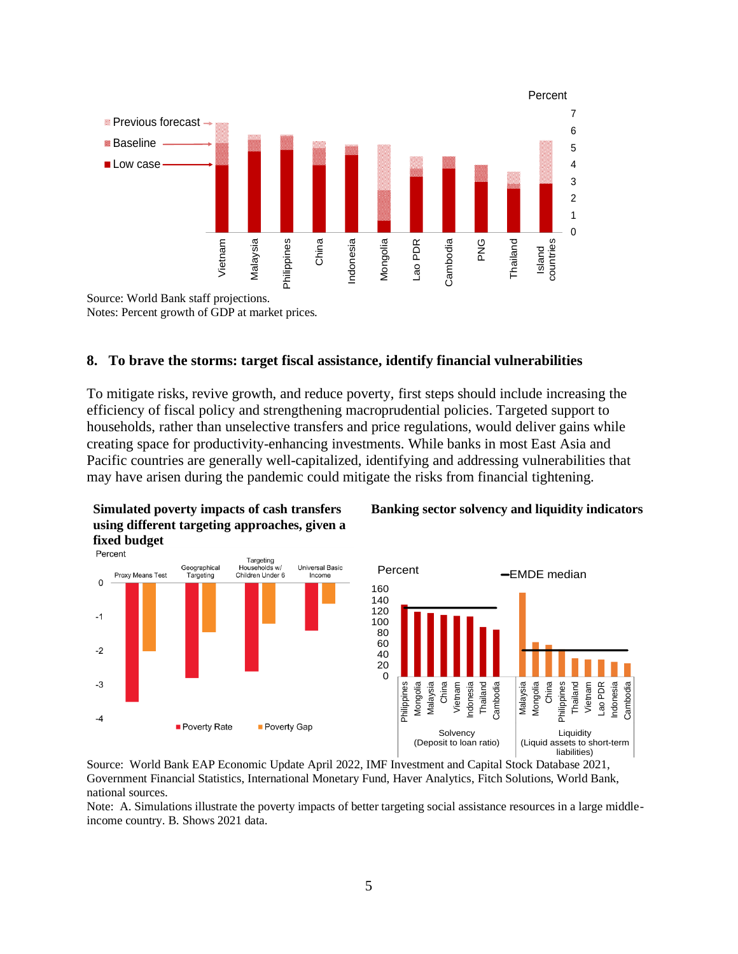

Notes: Percent growth of GDP at market prices.

### **8. To brave the storms: target fiscal assistance, identify financial vulnerabilities**

To mitigate risks, revive growth, and reduce poverty, first steps should include increasing the efficiency of fiscal policy and strengthening macroprudential policies. Targeted support to households, rather than unselective transfers and price regulations, would deliver gains while creating space for productivity-enhancing investments. While banks in most East Asia and Pacific countries are generally well-capitalized, identifying and addressing vulnerabilities that may have arisen during the pandemic could mitigate the risks from financial tightening.



**Simulated poverty impacts of cash transfers** 

### **Banking sector solvency and liquidity indicators**



Source: World Bank EAP Economic Update April 2022, IMF Investment and Capital Stock Database 2021, Government Financial Statistics, International Monetary Fund, Haver Analytics, Fitch Solutions, World Bank, national sources.

Note: A. Simulations illustrate the poverty impacts of better targeting social assistance resources in a large middleincome country. B. Shows 2021 data.